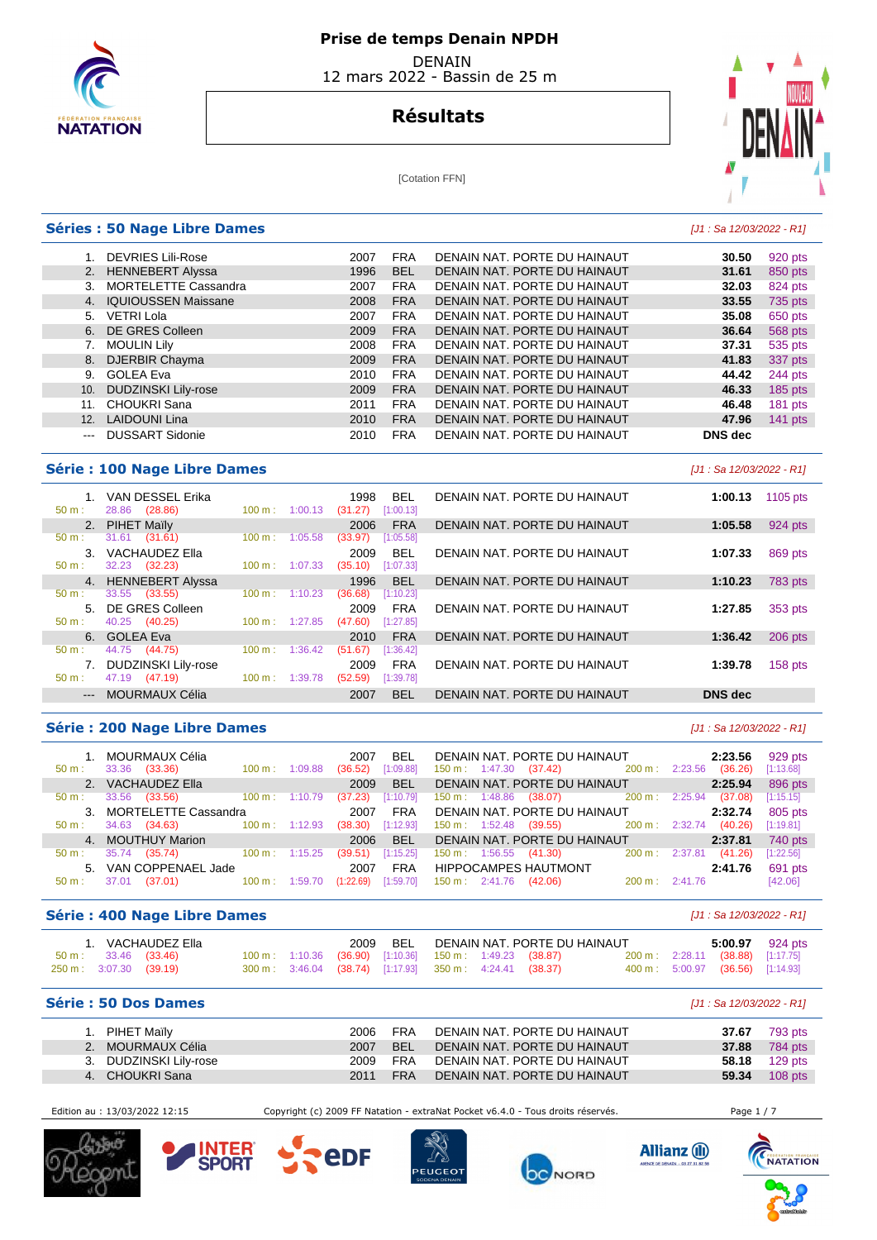

# **Résultats**



#### [Cotation FFN]

## **Séries : 50 Nage Libre Dames Contract Contract Contract Contract Contract Contract Contract Contract Contract Contract Contract Contract Contract Contract Contract Contract Contract Contract Contract Contract Contract C**

|     | DEVRIES Lili-Rose           | 2007 | <b>FRA</b> | DENAIN NAT. PORTE DU HAINAUT | 30.50          | 920 pts   |
|-----|-----------------------------|------|------------|------------------------------|----------------|-----------|
|     | 2. HENNEBERT Alyssa         | 1996 | <b>BEL</b> | DENAIN NAT. PORTE DU HAINAUT | 31.61          | 850 pts   |
| 3.  | <b>MORTELETTE Cassandra</b> | 2007 | <b>FRA</b> | DENAIN NAT. PORTE DU HAINAUT | 32.03          | 824 pts   |
|     | 4. IQUIOUSSEN Maissane      | 2008 | <b>FRA</b> | DENAIN NAT. PORTE DU HAINAUT | 33.55          | 735 pts   |
| 5.  | <b>VETRI Lola</b>           | 2007 | <b>FRA</b> | DENAIN NAT. PORTE DU HAINAUT | 35.08          | 650 pts   |
|     | 6. DE GRES Colleen          | 2009 | <b>FRA</b> | DENAIN NAT. PORTE DU HAINAUT | 36.64          | 568 pts   |
|     | <b>MOULIN Lily</b>          | 2008 | <b>FRA</b> | DENAIN NAT. PORTE DU HAINAUT | 37.31          | 535 pts   |
|     | 8. DJERBIR Chayma           | 2009 | <b>FRA</b> | DENAIN NAT. PORTE DU HAINAUT | 41.83          | 337 pts   |
| 9.  | GOLEA Eva                   | 2010 | <b>FRA</b> | DENAIN NAT. PORTE DU HAINAUT | 44.42          | 244 pts   |
| 10. | <b>DUDZINSKI Lily-rose</b>  | 2009 | <b>FRA</b> | DENAIN NAT. PORTE DU HAINAUT | 46.33          | 185 pts   |
| 11. | <b>CHOUKRI Sana</b>         | 2011 | <b>FRA</b> | DENAIN NAT. PORTE DU HAINAUT | 46.48          | 181 pts   |
| 12. | <b>LAIDOUNI Lina</b>        | 2010 | <b>FRA</b> | DENAIN NAT. PORTE DU HAINAUT | 47.96          | $141$ pts |
| --- | <b>DUSSART Sidonie</b>      | 2010 | <b>FRA</b> | DENAIN NAT. PORTE DU HAINAUT | <b>DNS</b> dec |           |

## **Série : 100 Nage Libre Dames** [J1 : Sa 12/03/2022 - R1]

|                           | VAN DESSEL Erika      |                              | <b>BEL</b><br>1998   | DENAIN NAT. PORTE DU HAINAUT | 1105 pts<br>1:00.13       |
|---------------------------|-----------------------|------------------------------|----------------------|------------------------------|---------------------------|
| $50 m$ :                  | (28.86)<br>28.86      | $100 \text{ m}$ :<br>1:00.13 | (31.27)<br>[1:00.13] |                              |                           |
|                           | 2. PIHET Maily        |                              | <b>FRA</b><br>2006   | DENAIN NAT. PORTE DU HAINAUT | 1:05.58<br>924 pts        |
| 50 m:                     | (31.61)<br>31.61      | 100 m:<br>1:05.58            | [1:05.58]<br>(33.97) |                              |                           |
| 3.                        | VACHAUDEZ Ella        |                              | <b>BEL</b><br>2009   | DENAIN NAT. PORTE DU HAINAUT | 1:07.33<br>869 pts        |
| 50 m:                     | 32.23 (32.23)         | 1:07.33<br>$100 \text{ m}$ : | [1:07.33]<br>(35.10) |                              |                           |
|                           | 4. HENNEBERT Alyssa   |                              | <b>BEL</b><br>1996   | DENAIN NAT. PORTE DU HAINAUT | 1:10.23<br><b>783 pts</b> |
| $50 m$ :                  | (33.55)<br>33.55      | 100 m:<br>1:10.23            | (36.68)<br>[1:10.23] |                              |                           |
|                           |                       |                              |                      |                              |                           |
|                           | 5. DE GRES Colleen    |                              | <b>FRA</b><br>2009   | DENAIN NAT. PORTE DU HAINAUT | 1:27.85<br>353 pts        |
| $50 m$ :                  | 40.25<br>(40.25)      | $100 \text{ m}$ : 1:27.85    | (47.60)<br>[1:27.85] |                              |                           |
|                           | 6. GOLEA Eva          |                              | <b>FRA</b><br>2010   | DENAIN NAT. PORTE DU HAINAUT | 1:36.42<br>$206$ pts      |
| $50 m$ :                  | 44.75 (44.75)         | 1:36.42<br>100 m:            | [1:36.42]<br>(51.67) |                              |                           |
|                           | DUDZINSKI Lily-rose   |                              | <b>FRA</b><br>2009   | DENAIN NAT. PORTE DU HAINAUT | 158 pts<br>1:39.78        |
| $50 m$ :                  | (47.19)<br>47.19      | 1:39.78<br>$100 \text{ m}$ : | (52.59)<br>[1:39.78] |                              |                           |
| $\qquad \qquad -\qquad -$ | <b>MOURMAUX Célia</b> |                              | <b>BEL</b><br>2007   | DENAIN NAT. PORTE DU HAINAUT | <b>DNS</b> dec            |

## **Série : 200 Nage Libre Dames** [J1 : Sa 12/03/2022 - R1]

| 50 m :           | 1. MOURMAUX Célia<br>33.36<br>(33.36) | $100 \text{ m}$ :         | 1:09.88 | 2007<br>(36.52) | <b>BEL</b><br>[1:09.88] | $150 \text{ m}: 1:47.30$ | DENAIN NAT. PORTE DU HAINAUT<br>$(37.42)$ 200 m : 2:23.56 |                          |         | 2:23.56<br>(36.26) | 929 pts<br>[1:13.68] |
|------------------|---------------------------------------|---------------------------|---------|-----------------|-------------------------|--------------------------|-----------------------------------------------------------|--------------------------|---------|--------------------|----------------------|
|                  | 2. VACHAUDEZ Ella                     |                           |         | 2009            | <b>BEL</b>              |                          | DENAIN NAT. PORTE DU HAINAUT                              |                          |         | 2:25.94            | 896 pts              |
| 50 m :           | 33.56<br>(33.56)                      | $100 \text{ m}: 1:10.79$  |         | (37.23)         | [1:10.79]               |                          | $150 \text{ m}: 1:48.86$ (38.07) 200 m :                  |                          | 2:25.94 | (37.08)            | [1:15.15]            |
|                  | 3. MORTELETTE Cassandra               |                           |         | 2007            | <b>FRA</b>              |                          | DENAIN NAT. PORTE DU HAINAUT                              |                          |         | 2:32.74            | 805 pts              |
| 50 m :           | (34.63)<br>34.63                      | $100 \text{ m}$ : 1:12.93 |         | (38.30)         | [1:12.93]               |                          | $150 \text{ m}: 1:52.48$ (39.55) 200 m :                  |                          | 2:32.74 | (40.26)            | [1:19.81]            |
|                  | 4. MOUTHUY Marion                     |                           |         | 2006            | <b>BFI</b>              |                          | DENAIN NAT. PORTE DU HAINAUT                              |                          |         | 2:37.81            | 740 pts              |
| $50 \text{ m}$ : | 35.74<br>(35.74)                      | $100 \text{ m}: 1:15.25$  |         | (39.51)         | [1:15.25]               |                          | $150 \text{ m}: 1:56.55$ (41.30)                          | $200 \text{ m}$ :        | 2:37.81 | (41.26)            | [1:22.56]            |
|                  | 5. VAN COPPENAEL Jade                 |                           |         | 2007            | <b>FRA</b>              |                          | HIPPOCAMPES HAUTMONT                                      |                          |         | 2:41.76            | 691 pts              |
| $50 m$ :         | 37.01<br>(37.01)                      | 100 m: 1:59.70            |         | (1:22.69)       | [1:59.70]               | $150 \text{ m}: 2:41.76$ | (42.06)                                                   | $200 \text{ m}: 2:41.76$ |         |                    | [42.06]              |

## **Série : 400 Nage Libre Dames Série : 400 Nage Libre Dames Exercísie 101 : Sa 12/03/2022 - R1]**

| <b>Série : 50 Dos Dames</b>                              |  |      |     |                                                                                                                    |                              |  |                                                                      |                 |
|----------------------------------------------------------|--|------|-----|--------------------------------------------------------------------------------------------------------------------|------------------------------|--|----------------------------------------------------------------------|-----------------|
| $50 \text{ m}: 33.46 (33.46)$<br>250 m : 3:07.30 (39.19) |  |      |     | 100 m: 1:10.36 (36.90) [1:10.36] 150 m: 1:49.23 (38.87)<br>300 m: 3:46.04 (38.74) [1:17.93] 350 m: 4:24.41 (38.37) |                              |  | 200 m: 2:28.11 (38.88) [1:17.75]<br>400 m: 5:00.97 (36.56) [1:14.93] |                 |
| VACHAUDEZ Ella                                           |  | 2009 | BEL |                                                                                                                    | DENAIN NAT. PORTE DU HAINAUT |  |                                                                      | 5:00.97 924 pts |

| PIHET Maïly            | 2006   | FRA        | DENAIN NAT. PORTE DU HAINAUT | 37.67 | 793 pts              |
|------------------------|--------|------------|------------------------------|-------|----------------------|
| 2. MOURMAUX Célia      | 2007   | <b>BEL</b> | DENAIN NAT. PORTE DU HAINAUT |       | <b>37.88</b> 784 pts |
| 3. DUDZINSKI Lily-rose | 2009 - | FRA        | DENAIN NAT. PORTE DU HAINAUT |       | <b>58.18</b> 129 pts |
| 4. CHOUKRI Sana        | 2011   | FRA        | DENAIN NAT. PORTE DU HAINAUT | 59.34 | $108$ pts            |

Edition au : 13/03/2022 12:15 Copyright (c) 2009 FF Natation - extraNat Pocket v6.4.0 - Tous droits réservés. Page 1 / 7











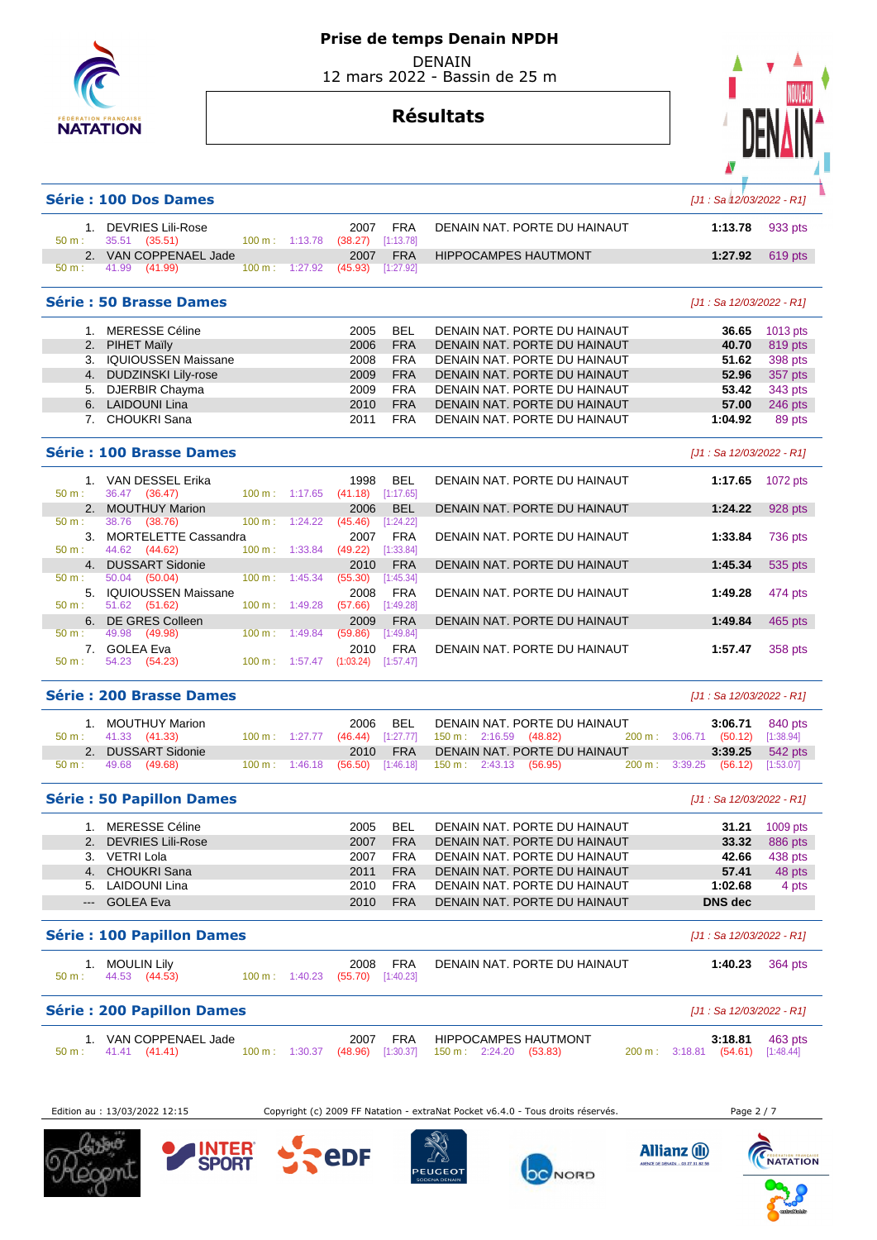

## **Prise de temps Denain NPDH**

 DENAIN 12 mars 2022 - Bassin de 25 m

# **Résultats**



# **Série : 100 Dos Dames Exercía de La California de La California de la California de la California de la California de la California de la California de la California de la California de la California de la California de**  1. DEVRIES Lili-Rose 2007 FRA DENAIN NAT. PORTE DU HAINAUT **1:13.78** 933 pts 50 m : 35.51 (35.51) 100 m : 1:13.78 (38.27) [1:13.78] 2. VAN COPPENAEL Jade 2007 FRA HIPPOCAMPES HAUTMONT 1:27.92 619 pts<br>
50 m : 41.99 (41.99) 100 m : 1:27.92 (45.93) [1:27.92] 50 m : 41.99 (41.99) 100 m : 1:27.92 (45.93) [1:27.92] **Série : 50 Brasse Dames** [J1 : Sa 12/03/2022 - R1] 1. MERESSE Céline 2005 BEL DENAIN NAT. PORTE DU HAINAUT **36.65** 1013 pts 2. PIHET Maïly 2006 FRA DENAIN NAT. PORTE DU HAINAUT **40.70** 819 pts 3. IQUIOUSSEN Maissane 2008 FRA DENAIN NAT. PORTE DU HAINAUT **51.62** 398 pts 4. DUDZINSKI Lily-rose 2009 FRA DENAIN NAT. PORTE DU HAINAUT **52.96** 357 pts 5. DJERBIR Chayma 2009 FRA DENAIN NAT. PORTE DU HAINAUT **53.42** 343 pts 6. LAIDOUNI Lina 2010 FRA DENAIN NAT. PORTE DU HAINAUT **57.00** 246 pts 7. CHOUKRI Sana 2011 FRA DENAIN NAT. PORTE DU HAINAUT **1:04.92** 89 pts **Série : 100 Brasse Dames** [J1 : Sa 12/03/2022 - R1] 1. VAN DESSEL Erika 1998 BEL DENAIN NAT. PORTE DU HAINAUT **1:17.65** 1072 pts 36.47 (36.47) 2. MOUTHUY Marion 2006 BEL DENAIN NAT. PORTE DU HAINAUT **1:24.22** 928 pts<br>
50 m : 38.76 (38.76) 100 m : 1:24.22 (45.46) [1:24.22] 50 m : 38.76 (38.76) 100 m : 1:24.22 (45.46) [1:24.22] 3. MORTELETTE Cassandra 2007 FRA DENAIN NAT. PORTE DU HAINAUT **1:33.84** 736 pts 44.62 (44.62) 4. DUSSART Sidonie 2010 FRA DENAIN NAT. PORTE DU HAINAUT **1:45.34** 535 pts 50 m : 50.04 (50.04) 100 m : 1:45.34 (55.30) [1:45.34] 5. IQUIOUSSEN Maissane 2008 FRA DENAIN NAT. PORTE DU HAINAUT **1:49.28** 474 pts 50 m : 51.62 (51.62) 100 m : 1:49.28 (57.66) [1:49.28] 6. DE GRES Colleen 2009 FRA DENAIN NAT. PORTE DU HAINAUT **1:49.84** 465 pts 50 m : 49.98 (49.98) 100 m : 1:49.84 (59.86) [1:49.84] 7. GOLEA Eva 2010 FRA DENAIN NAT. PORTE DU HAINAUT **1:57.47** 358 pts 54.23 (54.23) **Série : 200 Brasse Dames** [J1 : Sa 12/03/2022 - R1] 1. MOUTHUY Marion 2006 BEL DENAIN NAT. PORTE DU HAINAUT **3:06.71** 840 pts 150 m : 2:16.59 (48.82) 2. DUSSART Sidonie 2010 FRA DENAIN NAT. PORTE DU HAINAUT 3:39.25 542 pts<br>
50 m : 49.68 (49.68) 100 m : 1:46.18 (56.50) [1:46.18] 150 m : 2:43.13 (56.95) 200 m : 3:39.25 (56.12) [1:53.07] 50 m : 49.68 (49.68) 100 m : 1:46.18 (56.50) [1:46.18] 150 m : 2:43.13 (56.95) 200 m : 3:39.25 (56.12) [1:53.07] **Série : 50 Papillon Dames** [J1 : Sa 12/03/2022 - R1] 1. MERESSE Céline 2005 BEL DENAIN NAT. PORTE DU HAINAUT **31.21** 1009 pts 2. DEVRIES Lili-Rose 2007 FRA DENAIN NAT. PORTE DU HAINAUT **33.32** 886 pts 3. VETRI Lola 2007 FRA DENAIN NAT. PORTE DU HAINAUT **42.66** 438 pts 4. CHOUKRI Sana 2011 FRA DENAIN NAT. PORTE DU HAINAUT **57.41** 48 pts 5. LAIDOUNI Lina 2010 FRA DENAIN NAT. PORTE DU HAINAUT **1:02.68** 4 pts --- GOLEA Eva 2010 FRA DENAIN NAT. PORTE DU HAINAUT **DNS dec Série : 100 Papillon Dames** [J1 : Sa 12/03/2022 - R1] 1. MOULIN Lily 2008 FRA DENAIN NAT. PORTE DU HAINAUT **1:40.23** 364 pts 44.53 (44.53) 100 m : 1:40.23 (55.70) [1:40.23] **Série : 200 Papillon Dames** [J1 : Sa 12/03/2022 - R1] 1. VAN COPPENAEL Jade 2007 FRA HIPPOCAMPES HAUTMONT **3:18.81** 463 pts 50 m : 41.41 (41.41) 100 m : 1:30.37 (48.96) [1:30.37] 150 m : 2:24.20 (53.83) 200 m : 3:18.81 (54.61) [1:48.44] Edition au : 13/03/2022 12:15 Copyright (c) 2009 FF Natation - extraNat Pocket v6.4.0 - Tous droits réservés. Page 2 / 7 Ş. **INTER<br>SPORT**









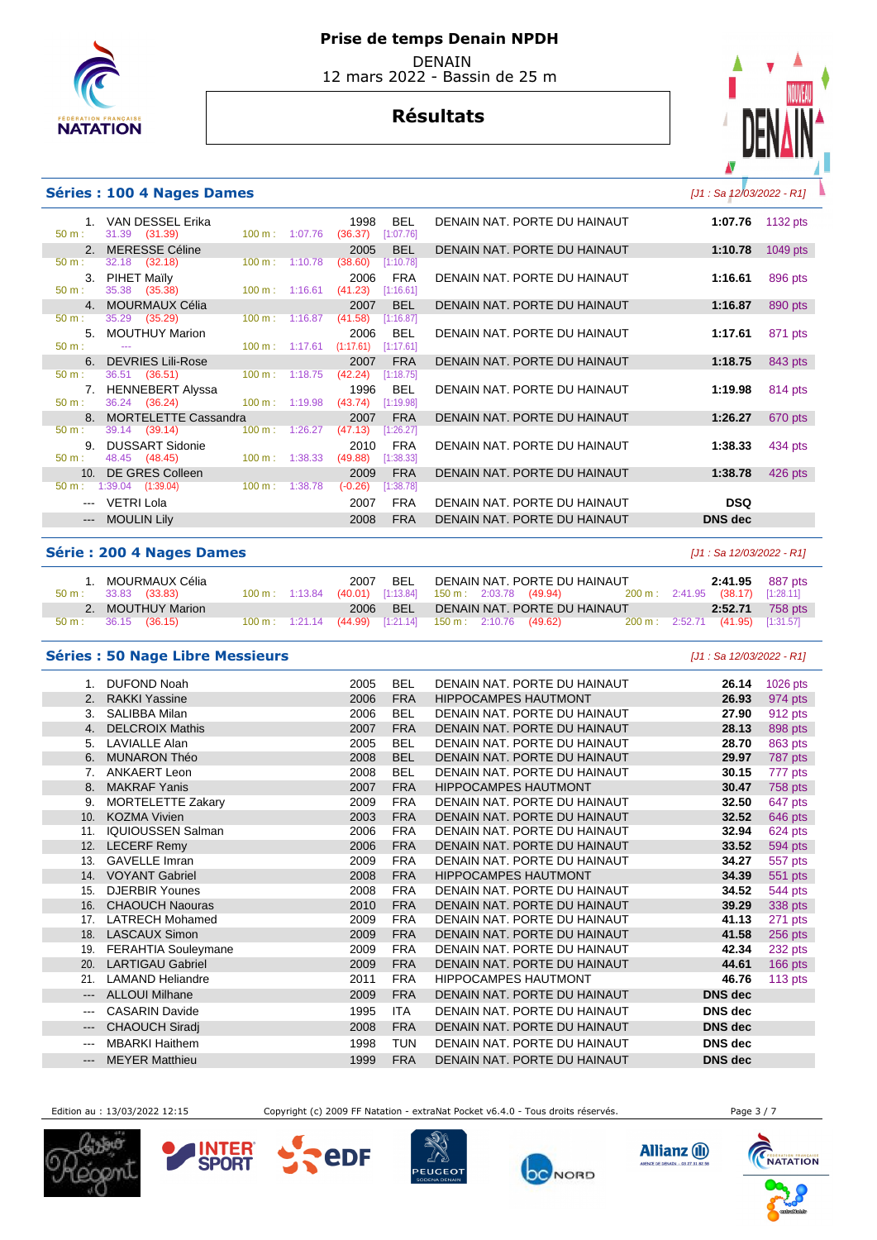

# **Résultats**



## **Séries : 100 4 Nages Dames and the series of the series of the series of the series of the series of the series of the series of the series of the series of the series of the series of the series of the series of the se**

--- VETRI Lola --- MOULIN Lily

|          | 1. VAN DESSEL Erika     |                           | 1998                                 | <b>BEL</b> | DENAIN NAT. PORTE DU HAINAUT | 1:07.76        | 1132 $pts$ |
|----------|-------------------------|---------------------------|--------------------------------------|------------|------------------------------|----------------|------------|
| 50 m:    | 31.39 (31.39)           | 100 m: 1:07.76            | (36.37)                              | [1:07.76]  |                              |                |            |
|          | 2. MERESSE Céline       |                           | 2005                                 | BEL        | DENAIN NAT. PORTE DU HAINAUT | 1:10.78        | 1049 pts   |
| 50 m:    | 32.18 (32.18)           | 100 m: 1:10.78            | (38.60)                              | [1:10.78]  |                              |                |            |
|          | 3. PIHET Maily          |                           | 2006                                 | <b>FRA</b> | DENAIN NAT. PORTE DU HAINAUT | 1:16.61        | 896 pts    |
| 50 m:    | 35.38 (35.38)           | $100 \text{ m}$ : 1:16.61 | (41.23)                              | [1:16.61]  |                              |                |            |
|          | 4. MOURMAUX Célia       |                           | 2007                                 | BEL        | DENAIN NAT. PORTE DU HAINAUT | 1:16.87        | 890 pts    |
| 50 m:    | 35.29 (35.29)           | $100 \text{ m}: 1:16.87$  | (41.58)                              | [1:16.87]  |                              |                |            |
|          | 5. MOUTHUY Marion       |                           | 2006                                 | BEL.       | DENAIN NAT. PORTE DU HAINAUT | 1:17.61        | 871 pts    |
| $50 m$ : | $\sim$                  |                           | $100 \text{ m}: 1:17.61$ $(1:17.61)$ | [1:17.61]  |                              |                |            |
|          | 6. DEVRIES Lili-Rose    |                           | 2007                                 | <b>FRA</b> | DENAIN NAT. PORTE DU HAINAUT | 1:18.75        | 843 pts    |
| 50 m:    | 36.51 (36.51)           | 100 m: 1:18.75            | (42.24)                              | [1:18.75]  |                              |                |            |
|          | 7. HENNEBERT Alyssa     |                           | 1996                                 | BEL.       | DENAIN NAT. PORTE DU HAINAUT | 1:19.98        | 814 pts    |
| $50 m$ : | 36.24 (36.24)           | $100 \text{ m}: 1:19.98$  | (43.74)                              | [1:19.98]  |                              |                |            |
|          | 8. MORTELETTE Cassandra |                           | 2007                                 | <b>FRA</b> | DENAIN NAT. PORTE DU HAINAUT | 1:26.27        | 670 pts    |
| 50 m:    | 39.14 (39.14)           | 100 m: 1:26.27            | (47.13)                              | [1:26.27]  |                              |                |            |
|          | 9. DUSSART Sidonie      |                           | 2010                                 | <b>FRA</b> | DENAIN NAT. PORTE DU HAINAUT | 1:38.33        | 434 pts    |
| $50 m$ : | 48.45 (48.45)           | $100 \text{ m}: 1:38.33$  | (49.88)                              | [1:38.33]  |                              |                |            |
|          | 10. DE GRES Colleen     |                           | 2009                                 | <b>FRA</b> | DENAIN NAT. PORTE DU HAINAUT | 1:38.78        | 426 pts    |
| 50 m:    | $1:39.04$ $(1:39.04)$   | $100 \text{ m}: 1:38.78$  | $(-0.26)$                            | [1:38.78]  |                              |                |            |
|          | --- VETRI Lola          |                           | 2007                                 | <b>FRA</b> | DENAIN NAT. PORTE DU HAINAUT | <b>DSQ</b>     |            |
|          | --- MOULIN Lily         |                           | 2008                                 | <b>FRA</b> | DENAIN NAT. PORTE DU HAINAUT | <b>DNS</b> dec |            |

#### **Série : 200 4 Nages Dames Camera Exercía de La Camera Estado e de Serie de La Camera Estado e de Serie de Serie de Serie de Serie de Serie de Serie de Serie de Serie de Serie de Serie de Serie de Serie de Serie de Serie**

| 1. MOURMAUX Célia<br>$50 \text{ m}: 33.83 (33.83)$ | 100 m : 1:13.84 (40.01) [1:13.84] 150 m : 2:03.78 (49.94) |  |  |  | 2007 BEL DENAIN NAT. PORTE DU HAINAUT<br>200 m: 2:41.95 (38.17) [1:28.11] |                                  | <b>2:41.95</b> 887 pts |
|----------------------------------------------------|-----------------------------------------------------------|--|--|--|---------------------------------------------------------------------------|----------------------------------|------------------------|
| 2. MOUTHUY Marion<br>$50 \text{ m}: 36.15 (36.15)$ | 100 m : 1:21.14 (44.99) [1:21.14] 150 m : 2:10.76 (49.62) |  |  |  | 2006 BEL DENAIN NAT. PORTE DU HAINAUT                                     | 200 m: 2:52.71 (41.95) [1:31.57] | <b>2:52.71</b> 758 pts |

## **Séries : 50 Nage Libre Messieurs** [J1 : Sa 12/03/2022 - R1]

|                        | <b>DUFOND Noah</b>         | 2005 | <b>BEL</b> | DENAIN NAT. PORTE DU HAINAUT | 26.14          | 1026 pts  |
|------------------------|----------------------------|------|------------|------------------------------|----------------|-----------|
| 2.                     | <b>RAKKI Yassine</b>       | 2006 | <b>FRA</b> | <b>HIPPOCAMPES HAUTMONT</b>  | 26.93          | 974 pts   |
| 3.                     | SALIBBA Milan              | 2006 | <b>BEL</b> | DENAIN NAT. PORTE DU HAINAUT | 27.90          | 912 pts   |
| 4.                     | <b>DELCROIX Mathis</b>     | 2007 | <b>FRA</b> | DENAIN NAT. PORTE DU HAINAUT | 28.13          | 898 pts   |
| 5.                     | <b>LAVIALLE Alan</b>       | 2005 | <b>BEL</b> | DENAIN NAT. PORTE DU HAINAUT | 28.70          | 863 pts   |
| 6.                     | <b>MUNARON Théo</b>        | 2008 | <b>BEL</b> | DENAIN NAT. PORTE DU HAINAUT | 29.97          | 787 pts   |
| 7.                     | ANKAERT Leon               | 2008 | <b>BEL</b> | DENAIN NAT. PORTE DU HAINAUT | 30.15          | 777 pts   |
| 8.                     | <b>MAKRAF Yanis</b>        | 2007 | <b>FRA</b> | <b>HIPPOCAMPES HAUTMONT</b>  | 30.47          | 758 pts   |
| 9.                     | <b>MORTELETTE Zakary</b>   | 2009 | <b>FRA</b> | DENAIN NAT. PORTE DU HAINAUT | 32.50          | 647 pts   |
| 10.                    | <b>KOZMA Vivien</b>        | 2003 | <b>FRA</b> | DENAIN NAT. PORTE DU HAINAUT | 32.52          | 646 pts   |
| 11.                    | <b>IQUIOUSSEN Salman</b>   | 2006 | <b>FRA</b> | DENAIN NAT. PORTE DU HAINAUT | 32.94          | 624 pts   |
| 12.                    | <b>LECERF Remy</b>         | 2006 | <b>FRA</b> | DENAIN NAT. PORTE DU HAINAUT | 33.52          | 594 pts   |
| 13.                    | <b>GAVELLE Imran</b>       | 2009 | <b>FRA</b> | DENAIN NAT. PORTE DU HAINAUT | 34.27          | 557 pts   |
| 14.                    | <b>VOYANT Gabriel</b>      | 2008 | <b>FRA</b> | <b>HIPPOCAMPES HAUTMONT</b>  | 34.39          | 551 pts   |
| 15.                    | <b>DJERBIR Younes</b>      | 2008 | <b>FRA</b> | DENAIN NAT. PORTE DU HAINAUT | 34.52          | 544 pts   |
| 16.                    | <b>CHAOUCH Naouras</b>     | 2010 | <b>FRA</b> | DENAIN NAT. PORTE DU HAINAUT | 39.29          | 338 pts   |
| 17.                    | <b>LATRECH Mohamed</b>     | 2009 | <b>FRA</b> | DENAIN NAT. PORTE DU HAINAUT | 41.13          | 271 pts   |
|                        | 18. LASCAUX Simon          | 2009 | <b>FRA</b> | DENAIN NAT. PORTE DU HAINAUT | 41.58          | 256 pts   |
| 19.                    | <b>FERAHTIA Souleymane</b> | 2009 | <b>FRA</b> | DENAIN NAT. PORTE DU HAINAUT | 42.34          | 232 pts   |
| 20.                    | <b>LARTIGAU Gabriel</b>    | 2009 | <b>FRA</b> | DENAIN NAT. PORTE DU HAINAUT | 44.61          | 166 pts   |
| 21.                    | <b>LAMAND Heliandre</b>    | 2011 | <b>FRA</b> | <b>HIPPOCAMPES HAUTMONT</b>  | 46.76          | $113$ pts |
| $\qquad \qquad \cdots$ | <b>ALLOUI Milhane</b>      | 2009 | <b>FRA</b> | DENAIN NAT. PORTE DU HAINAUT | <b>DNS</b> dec |           |
| $\cdots$               | <b>CASARIN Davide</b>      | 1995 | ITA        | DENAIN NAT. PORTE DU HAINAUT | <b>DNS</b> dec |           |
| $---$                  | <b>CHAOUCH Siradj</b>      | 2008 | <b>FRA</b> | DENAIN NAT. PORTE DU HAINAUT | <b>DNS</b> dec |           |
| $---$                  | <b>MBARKI Haithem</b>      | 1998 | <b>TUN</b> | DENAIN NAT. PORTE DU HAINAUT | <b>DNS</b> dec |           |
| $\qquad \qquad - -$    | <b>MEYER Matthieu</b>      | 1999 | <b>FRA</b> | DENAIN NAT. PORTE DU HAINAUT | <b>DNS</b> dec |           |
|                        |                            |      |            |                              |                |           |

Edition au : 13/03/2022 12:15 Copyright (c) 2009 FF Natation - extraNat Pocket v6.4.0 - Tous droits réservés. Page 3 / 7







**eDF** 





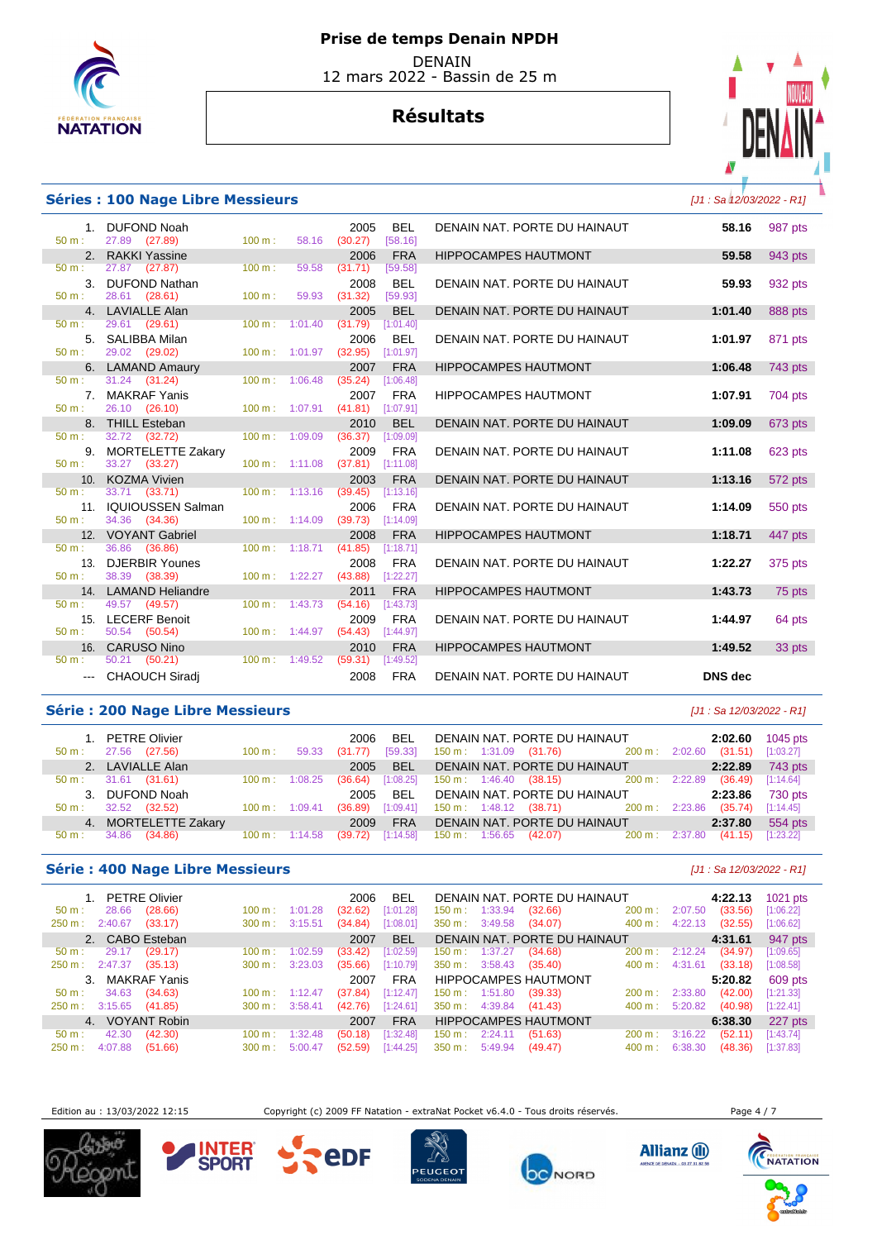

# **Résultats**



## **Séries : 100 Nage Libre Messieurs** [J1 : Sa 12/03/2022 - R1]

| $50 m$ :     | 1. DUFOND Noah<br>27.89 (27.89)     | 100 m:                      | 58.16   | 2005<br>(30.27) | <b>BEL</b><br>[58.16]   | DENAIN NAT. PORTE DU HAINAUT | 58.16          | 987 pts |
|--------------|-------------------------------------|-----------------------------|---------|-----------------|-------------------------|------------------------------|----------------|---------|
|              | 2. RAKKI Yassine                    |                             |         | 2006            | <b>FRA</b>              | <b>HIPPOCAMPES HAUTMONT</b>  | 59.58          | 943 pts |
| 50 m:        | 27.87 (27.87)                       | 100 m:                      | 59.58   | (31.71)         | [59.58]                 |                              |                |         |
|              | 3. DUFOND Nathan                    |                             |         | 2008            | <b>BEL</b>              | DENAIN NAT. PORTE DU HAINAUT | 59.93          | 932 pts |
| $50 m$ :     | 28.61 (28.61)                       | 100 m:                      | 59.93   | (31.32)         | [59.93]                 |                              |                |         |
|              | 4. LAVIALLE Alan                    |                             |         | 2005            | <b>BEL</b>              | DENAIN NAT. PORTE DU HAINAUT | 1:01.40        | 888 pts |
| $50 m$ :     | 29.61 (29.61)                       | $100 \text{ m}$ :           | 1:01.40 | (31.79)         | [1:01.40]               |                              |                |         |
|              | 5. SALIBBA Milan                    |                             |         | 2006            | <b>BEL</b>              | DENAIN NAT. PORTE DU HAINAUT | 1:01.97        | 871 pts |
| $50 m$ :     | 29.02 (29.02)                       | 100 m: 1:01.97              |         | (32.95)         | [1:01.97]               |                              |                |         |
| $50 m$ :     | 6. LAMAND Amaury<br>31.24 (31.24)   | $100 \text{ m}$ :           | 1:06.48 | 2007<br>(35.24) | <b>FRA</b><br>[1:06.48] | <b>HIPPOCAMPES HAUTMONT</b>  | 1:06.48        | 743 pts |
|              | 7. MAKRAF Yanis                     |                             |         | 2007            | <b>FRA</b>              | <b>HIPPOCAMPES HAUTMONT</b>  | 1:07.91        | 704 pts |
| $50 m$ :     | 26.10 (26.10)                       | $100 m$ : 1:07.91           |         | (41.81)         | [1:07.91]               |                              |                |         |
|              | 8. THILL Esteban                    |                             |         | 2010            | <b>BEL</b>              | DENAIN NAT. PORTE DU HAINAUT | 1:09.09        | 673 pts |
| $50 m$ :     | 32.72 (32.72)                       | $100 \text{ m}$ : $1:09.09$ |         | (36.37)         | [1:09.09]               |                              |                |         |
|              | 9. MORTELETTE Zakary                |                             |         | 2009            | <b>FRA</b>              | DENAIN NAT. PORTE DU HAINAUT | 1:11.08        | 623 pts |
| $50 m$ :     | 33.27 (33.27)                       | 100 m: 1:11.08              |         | (37.81)         | [1:11.08]               |                              |                |         |
|              | 10. KOZMA Vivien                    |                             |         | 2003            | <b>FRA</b>              | DENAIN NAT. PORTE DU HAINAUT | 1:13.16        | 572 pts |
| $50 m$ :     | 33.71 (33.71)                       | $100 \text{ m}$ : 1:13.16   |         | (39.45)         | [1:13.16]               |                              |                |         |
|              | 11. IQUIOUSSEN Salman               |                             |         | 2006            | <b>FRA</b>              | DENAIN NAT. PORTE DU HAINAUT | 1:14.09        | 550 pts |
| $50 m$ :     | 34.36 (34.36)                       | $100 \text{ m}$ : 1:14.09   |         | (39.73)         | [1:14.09]               |                              |                |         |
|              | 12. VOYANT Gabriel                  |                             |         | 2008            | <b>FRA</b>              | <b>HIPPOCAMPES HAUTMONT</b>  | 1:18.71        | 447 pts |
| $50 m$ :     | 36.86 (36.86)                       | 100 m: 1:18.71              |         | (41.85)         | [1:18.71]               |                              |                |         |
|              | 13. DJERBIR Younes                  |                             |         | 2008            | <b>FRA</b>              | DENAIN NAT. PORTE DU HAINAUT | 1:22.27        | 375 pts |
| $50 m$ :     | 38.39 (38.39)                       | $100 m$ : 1:22.27           |         | (43.88)         | [1:22.27]               |                              |                |         |
|              | 14. LAMAND Heliandre                |                             |         | 2011            | <b>FRA</b>              | <b>HIPPOCAMPES HAUTMONT</b>  | 1:43.73        | 75 pts  |
| 50 m:        | 49.57 (49.57)                       | $100 m$ : 1:43.73           |         | (54.16)         | [1:43.73]               |                              |                |         |
| 15.          | <b>LECERF Benoit</b>                |                             |         | 2009            | <b>FRA</b>              | DENAIN NAT. PORTE DU HAINAUT | 1:44.97        | 64 pts  |
| $50 m$ :     | 50.54 (50.54)                       | $100 \text{ m}$ : 1:44.97   |         | (54.43)         | [1:44.97]               |                              |                |         |
| 16.<br>50 m: | <b>CARUSO Nino</b><br>50.21 (50.21) | $100 m$ : 1:49.52           |         | 2010<br>(59.31) | <b>FRA</b><br>[1:49.52] | <b>HIPPOCAMPES HAUTMONT</b>  | 1:49.52        | 33 pts  |
|              |                                     |                             |         |                 |                         |                              |                |         |
|              | --- CHAOUCH Siradi                  |                             |         | 2008            | <b>FRA</b>              | DENAIN NAT. PORTE DU HAINAUT | <b>DNS</b> dec |         |

## Série : 200 Nage Libre Messieurs **Série : 200 Nage Libre Messieurs Exercía Exercípio 12/03/2022** - R1]

| $50 \text{ m}$ : | 1. PETRE Olivier<br>27.56<br>(27.56) | $100 \text{ m}$ :        | 59.33   | BEL<br>2006<br>[59.33]<br>(31.77) | DENAIN NAT. PORTE DU HAINAUT<br>$150 \text{ m}: 1:31.09$ $(31.76)$ $200 \text{ m}: 2:02.60$ | 2:02.60<br>(31.51) | 1045 pts<br>[1:03.27] |
|------------------|--------------------------------------|--------------------------|---------|-----------------------------------|---------------------------------------------------------------------------------------------|--------------------|-----------------------|
|                  | 2. LAVIALLE Alan                     |                          |         | <b>BEL</b><br>2005                | DENAIN NAT. PORTE DU HAINAUT                                                                | 2:22.89            | 743 pts               |
| $50 \text{ m}$ : | 31.61<br>(31.61)                     | $100 \text{ m}$ :        | 1:08.25 | (36.64)<br>[1:08.25]              | $150 \text{ m}: 1:46.40$ (38.15) $200 \text{ m}: 2:22.89$                                   | (36.49)            | [1:14.64]             |
|                  | 3. DUFOND Noah                       |                          |         | <b>BEL</b><br>2005                | DENAIN NAT. PORTE DU HAINAUT                                                                | 2:23.86            | 730 pts               |
| $50 \text{ m}$ : | 32.52<br>(32.52)                     | $100 \text{ m}$ :        | 1:09.41 | [1:09.41]<br>(36.89)              | 150 m : 1:48.12 (38.71) 200 m : 2:23.86                                                     | (35.74)            | [1:14.45]             |
|                  | 4. MORTELETTE Zakary                 |                          |         | <b>FRA</b><br>2009                | DENAIN NAT. PORTE DU HAINAUT                                                                | 2:37.80            | 554 pts               |
| 50 m :           | 34.86<br>(34.86)                     | $100 \text{ m}: 1:14.58$ |         | [1:14.58]<br>(39.72)              | 150 m : 1:56.65 (42.07) 200 m : 2:37.80                                                     | (41.15)            | [1:23.22]             |

## **Série : 400 Nage Libre Messieurs** [J1 : Sa 12/03/2022 - R1]

| 1. PETRE Olivier                     |                              | 2006<br><b>BEL</b>   | DENAIN NAT. PORTE DU HAINAUT                      | 4:22.13            | $1021$ pts |
|--------------------------------------|------------------------------|----------------------|---------------------------------------------------|--------------------|------------|
| 28.66<br>(28.66)<br>$50 m$ :         | 1:01.28<br>100 m:            | [1:01.28]<br>(32.62) | $150 \text{ m}$ : 1:33.94<br>$200 m$ :<br>(32.66) | 2:07.50<br>(33.56) | [1:06.22]  |
| 2:40.67<br>(33.17)<br>250 m :        | 3:15.51<br>$300 \text{ m}$ : | (34.84)<br>[1:08.01] | $350 \text{ m}: 3:49.58$<br>(34.07)<br>400 m:     | 4:22.13<br>(32.55) | [1:06.62]  |
| 2. CABO Esteban                      |                              | <b>BEL</b><br>2007   | DENAIN NAT. PORTE DU HAINAUT                      | 4:31.61            | 947 pts    |
| 29.17<br>(29.17)<br>$50 \text{ m}$ : | $100 \text{ m}$ :<br>1:02.59 | [1:02.59]<br>(33.42) | $150 \text{ m}: 1:37.27$<br>(34.68)<br>200 m:     | 2:12.24<br>(34.97) | [1:09.65]  |
| 250 m : 2:47.37<br>(35.13)           | 3:23.03<br>$300 \text{ m}$ : | (35.66)<br>[1:10.79] | $350 \text{ m}: 3:58.43$<br>400 m :<br>(35.40)    | 4:31.61<br>(33.18) | [1:08.58]  |
| 3. MAKRAF Yanis                      |                              | <b>FRA</b><br>2007   | <b>HIPPOCAMPES HAUTMONT</b>                       | 5:20.82            | 609 pts    |
| 34.63<br>(34.63)<br>$50 \text{ m}$ : | 1:12.47<br>$100 \text{ m}$ : | [1:12.47]<br>(37.84) | $150 \text{ m}: 1:51.80$<br>200 m:<br>(39.33)     | (42.00)<br>2:33.80 | [1:21.33]  |
| 3:15.65<br>(41.85)<br>250 m :        | 3:58.41<br>$300 \text{ m}$ : | [1:24.61]<br>(42.76) | 400 m:<br>350 m :<br>4:39.84<br>(41.43)           | 5:20.82<br>(40.98) | [1:22.41]  |
| 4. VOYANT Robin                      |                              | 2007<br><b>FRA</b>   | <b>HIPPOCAMPES HAUTMONT</b>                       | 6:38.30            | 227 pts    |
| 42.30<br>(42.30)<br>$50 m$ :         | 1:32.48<br>100 m:            | [1:32.48]<br>(50.18) | 150 m : 2:24.11<br>(51.63)<br>200 m:              | (52.11)<br>3:16.22 | [1:43.74]  |
| 4:07.88<br>(51.66)<br>$250 m$ :      | 5:00.47<br>$300 \text{ m}$ : | (52.59)<br>[1:44.25] | 350 m :<br>5:49.94<br>(49.47)<br>400 m:           | 6:38.30<br>(48.36) | [1:37.83]  |

Edition au : 13/03/2022 12:15 Copyright (c) 2009 FF Natation - extraNat Pocket v6.4.0 - Tous droits réservés. Page 4 / 7







**eDF** 







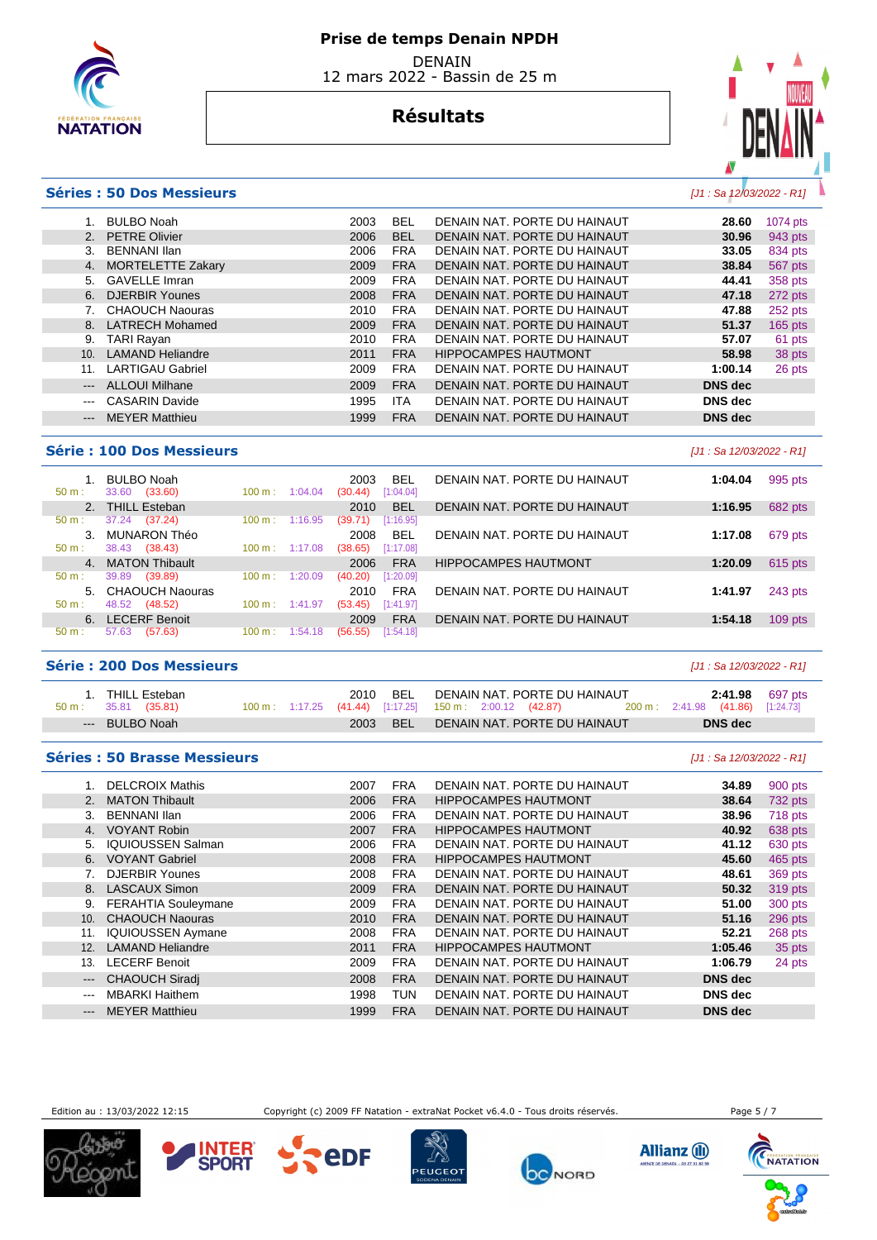

# **Résultats**



## **Séries : 50 Dos Messieurs** [J1 : Sa 12/03/2022 - R1]

|                                          | <b>BULBO Noah</b>              | 2003 | <b>BEL</b> | DENAIN NAT. PORTE DU HAINAUT | 28.60          | 1074 pts  |
|------------------------------------------|--------------------------------|------|------------|------------------------------|----------------|-----------|
|                                          | <b>PETRE Olivier</b>           | 2006 | <b>BEL</b> | DENAIN NAT. PORTE DU HAINAUT | 30.96          | 943 pts   |
|                                          | <b>BENNANI Ilan</b><br>3.      | 2006 | <b>FRA</b> | DENAIN NAT. PORTE DU HAINAUT | 33.05          | 834 pts   |
|                                          | <b>MORTELETTE Zakary</b><br>4. | 2009 | <b>FRA</b> | DENAIN NAT. PORTE DU HAINAUT | 38.84          | 567 pts   |
|                                          | <b>GAVELLE Imran</b><br>5.     | 2009 | <b>FRA</b> | DENAIN NAT. PORTE DU HAINAUT | 44.41          | 358 pts   |
|                                          | DJERBIR Younes<br>6.           | 2008 | <b>FRA</b> | DENAIN NAT. PORTE DU HAINAUT | 47.18          | 272 pts   |
|                                          | <b>CHAOUCH Naouras</b>         | 2010 | <b>FRA</b> | DENAIN NAT. PORTE DU HAINAUT | 47.88          | 252 pts   |
|                                          | <b>LATRECH Mohamed</b><br>8.   | 2009 | <b>FRA</b> | DENAIN NAT. PORTE DU HAINAUT | 51.37          | $165$ pts |
|                                          | <b>TARI Rayan</b><br>9.        | 2010 | <b>FRA</b> | DENAIN NAT. PORTE DU HAINAUT | 57.07          | 61 pts    |
| 10.                                      | <b>LAMAND Heliandre</b>        | 2011 | <b>FRA</b> | <b>HIPPOCAMPES HAUTMONT</b>  | 58.98          | 38 pts    |
| 11.                                      | <b>LARTIGAU Gabriel</b>        | 2009 | <b>FRA</b> | DENAIN NAT. PORTE DU HAINAUT | 1:00.14        | 26 pts    |
| $\hspace{0.05cm} \ldots \hspace{0.05cm}$ | <b>ALLOUI Milhane</b>          | 2009 | <b>FRA</b> | DENAIN NAT. PORTE DU HAINAUT | <b>DNS</b> dec |           |
| $\qquad \qquad \cdots$                   | <b>CASARIN Davide</b>          | 1995 | <b>ITA</b> | DENAIN NAT. PORTE DU HAINAUT | <b>DNS</b> dec |           |
|                                          | <b>MEYER Matthieu</b>          | 1999 | <b>FRA</b> | DENAIN NAT. PORTE DU HAINAUT | <b>DNS</b> dec |           |
|                                          |                                |      |            |                              |                |           |

## **Série : 100 Dos Messieurs and the series of the series of the series of the series of the series of the series of the series of the series of the series of the series of the series of the series of the series of the ser**

|                | <b>BULBO Noah</b>    |                              | BEL<br>2003          | DENAIN NAT. PORTE DU HAINAUT | 1:04.04 | 995 pts   |
|----------------|----------------------|------------------------------|----------------------|------------------------------|---------|-----------|
| $50 m$ :       | 33.60<br>(33.60)     | 100 m:<br>1:04.04            | [1:04.04]<br>(30.44) |                              |         |           |
|                | 2. THILL Esteban     |                              | <b>BEL</b><br>2010   | DENAIN NAT. PORTE DU HAINAUT | 1:16.95 | 682 pts   |
| $50 m$ :       | 37.24<br>(37.24)     | 1:16.95<br>100 m:            | [1:16.95]<br>(39.71) |                              |         |           |
| 3 <sub>1</sub> | MUNARON Théo         |                              | <b>BEL</b><br>2008   | DENAIN NAT. PORTE DU HAINAUT | 1:17.08 | 679 pts   |
| $50 m$ :       | 38.43<br>(38.43)     | $100 \text{ m}: 1:17.08$     | (38.65)<br>[1:17.08] |                              |         |           |
|                | 4. MATON Thibault    |                              | <b>FRA</b><br>2006   | <b>HIPPOCAMPES HAUTMONT</b>  | 1:20.09 | $615$ pts |
| $50 m$ :       | 39.89<br>(39.89)     | 1:20.09<br>100 m:            | [1:20.09]<br>(40.20) |                              |         |           |
|                | 5. CHAOUCH Naouras   |                              | <b>FRA</b><br>2010   | DENAIN NAT. PORTE DU HAINAUT | 1:41.97 | 243 pts   |
| $50 m$ :       | 48.52<br>(48.52)     | 1:41.97<br>$100 \text{ m}$ : | [1:41.97]<br>(53.45) |                              |         |           |
| 6.             | <b>LECERF Benoit</b> |                              | <b>FRA</b><br>2009   | DENAIN NAT. PORTE DU HAINAUT | 1:54.18 | $109$ pts |
| $50 m$ :       | 57.63<br>(57.63)     | 100 m:<br>1:54.18            | [1:54.18]<br>(56.55) |                              |         |           |
|                |                      |                              |                      |                              |         |           |

## **Série : 200 Dos Messieurs** [J1 : Sa 12/03/2022 - R1]

| 1. THILL Esteban              |  |          |                              |  | 2010 BEL DENAIN NAT. PORTE DU HAINAUT |  |                                                                                 |  | <b>2:41.98</b> 697 pts           |  |  |
|-------------------------------|--|----------|------------------------------|--|---------------------------------------|--|---------------------------------------------------------------------------------|--|----------------------------------|--|--|
| $50 \text{ m}: 35.81 (35.81)$ |  |          |                              |  |                                       |  | $100 \text{ m}$ : $1:17.25$ (41.44) [1:17.25] $150 \text{ m}$ : 2:00.12 (42.87) |  | 200 m: 2:41.98 (41.86) [1:24.73] |  |  |
| --- BULBO Noah                |  | 2003 BEL | DENAIN NAT. PORTE DU HAINAUT |  | <b>DNS</b> dec                        |  |                                                                                 |  |                                  |  |  |

#### **Séries : 50 Brasse Messieurs** [J1 : Sa 12/03/2022 - R1]

|                     | <b>DELCROIX Mathis</b>     | 2007 | <b>FRA</b> | DENAIN NAT. PORTE DU HAINAUT | 34.89          | 900 pts |
|---------------------|----------------------------|------|------------|------------------------------|----------------|---------|
|                     | <b>MATON Thibault</b>      | 2006 | <b>FRA</b> | <b>HIPPOCAMPES HAUTMONT</b>  | 38.64          | 732 pts |
| 3.                  | BENNANI Ilan               | 2006 | <b>FRA</b> | DENAIN NAT. PORTE DU HAINAUT | 38.96          | 718 pts |
| 4.                  | <b>VOYANT Robin</b>        | 2007 | <b>FRA</b> | <b>HIPPOCAMPES HAUTMONT</b>  | 40.92          | 638 pts |
| 5.                  | <b>IQUIOUSSEN Salman</b>   | 2006 | <b>FRA</b> | DENAIN NAT. PORTE DU HAINAUT | 41.12          | 630 pts |
| 6.                  | <b>VOYANT Gabriel</b>      | 2008 | <b>FRA</b> | <b>HIPPOCAMPES HAUTMONT</b>  | 45.60          | 465 pts |
|                     | <b>DJERBIR Younes</b>      | 2008 | <b>FRA</b> | DENAIN NAT. PORTE DU HAINAUT | 48.61          | 369 pts |
|                     | 8. LASCAUX Simon           | 2009 | <b>FRA</b> | DENAIN NAT. PORTE DU HAINAUT | 50.32          | 319 pts |
| 9.                  | <b>FERAHTIA Souleymane</b> | 2009 | <b>FRA</b> | DENAIN NAT. PORTE DU HAINAUT | 51.00          | 300 pts |
| 10.                 | <b>CHAOUCH Naouras</b>     | 2010 | <b>FRA</b> | DENAIN NAT. PORTE DU HAINAUT | 51.16          | 296 pts |
| 11.                 | <b>IQUIOUSSEN Aymane</b>   | 2008 | <b>FRA</b> | DENAIN NAT. PORTE DU HAINAUT | 52.21          | 268 pts |
| 12 <sub>1</sub>     | <b>LAMAND Heliandre</b>    | 2011 | <b>FRA</b> | <b>HIPPOCAMPES HAUTMONT</b>  | 1:05.46        | 35 pts  |
| 13.                 | <b>LECERF Benoit</b>       | 2009 | <b>FRA</b> | DENAIN NAT. PORTE DU HAINAUT | 1:06.79        | 24 pts  |
| $\qquad \qquad - -$ | <b>CHAOUCH Siradj</b>      | 2008 | <b>FRA</b> | DENAIN NAT. PORTE DU HAINAUT | <b>DNS</b> dec |         |
| $\frac{1}{2}$       | <b>MBARKI Haithem</b>      | 1998 | TUN        | DENAIN NAT. PORTE DU HAINAUT | <b>DNS</b> dec |         |
| $---$               | <b>MEYER Matthieu</b>      | 1999 | <b>FRA</b> | DENAIN NAT. PORTE DU HAINAUT | <b>DNS</b> dec |         |
|                     |                            |      |            |                              |                |         |

Edition au : 13/03/2022 12:15 Copyright (c) 2009 FF Natation - extraNat Pocket v6.4.0 - Tous droits réservés. Page 5 / 7









**eDF** 





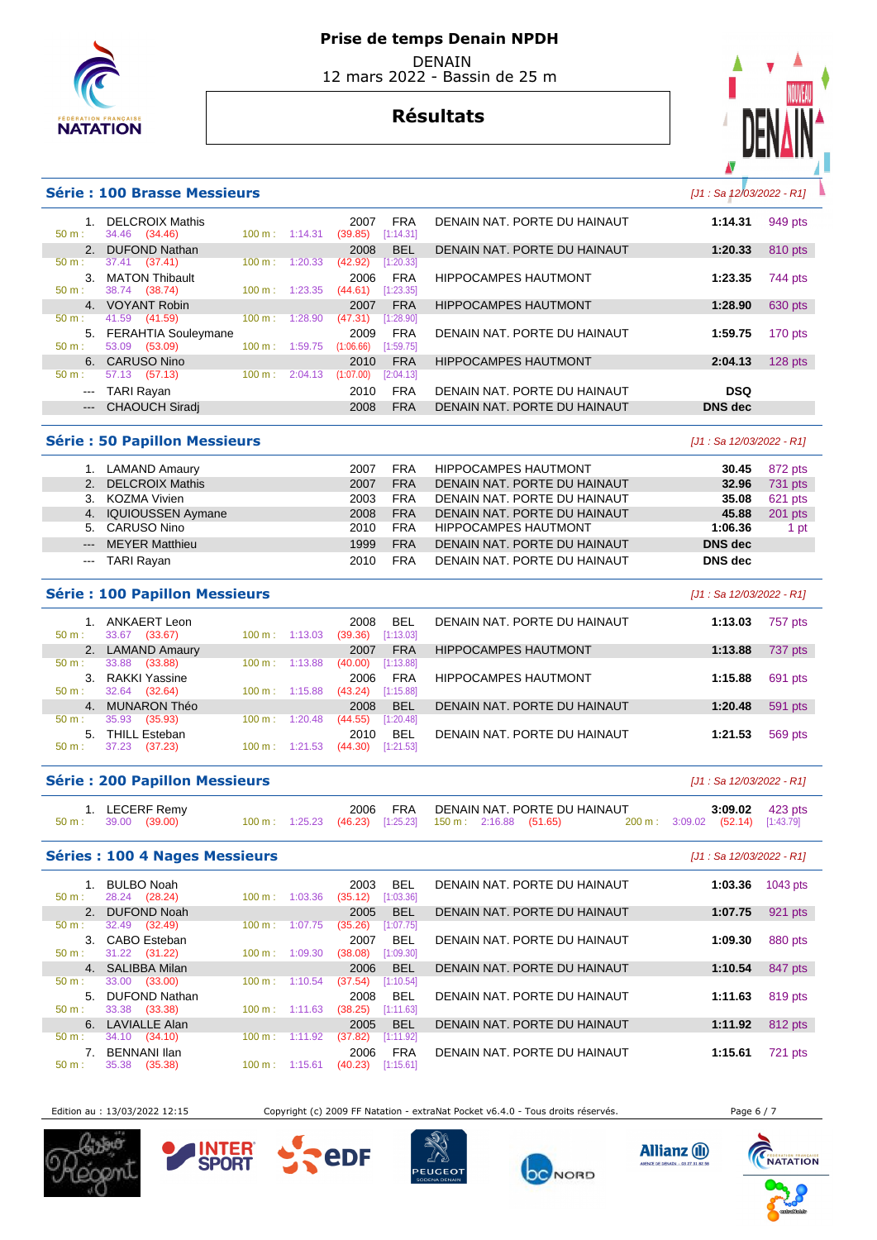

# **Résultats**



#### **Série : 100 Brasse Messieurs Calculation Community Community Community Community Community Community Community Community Community Community Community Community Community Community Community Community Community Communit**

| $50 \text{ m}$ :           | <b>DELCROIX Mathis</b><br>34.46 (34.46) | $100 \text{ m}$ : | 1:14.31 | 2007<br>(39.85) | <b>FRA</b><br>[1:14.31] | DENAIN NAT. PORTE DU HAINAUT | 1:14.31        | 949 pts   |
|----------------------------|-----------------------------------------|-------------------|---------|-----------------|-------------------------|------------------------------|----------------|-----------|
|                            | <b>DUFOND Nathan</b>                    |                   |         | 2008            | <b>BEL</b>              | DENAIN NAT. PORTE DU HAINAUT | 1:20.33        | 810 pts   |
| 50 m:                      | 37.41 (37.41)                           | 100 m:            | 1:20.33 | (42.92)         | [1:20.33]               |                              |                |           |
| 3.                         | <b>MATON Thibault</b>                   |                   |         | 2006            | <b>FRA</b>              | <b>HIPPOCAMPES HAUTMONT</b>  | 1:23.35        | 744 pts   |
| $50 m$ :                   | 38.74 (38.74)                           | 100 m:            | 1:23.35 | (44.61)         | [1:23.35]               |                              |                |           |
|                            | 4. VOYANT Robin                         |                   |         | 2007            | <b>FRA</b>              | <b>HIPPOCAMPES HAUTMONT</b>  | 1:28.90        | 630 pts   |
| 50 m:                      | 41.59<br>(41.59)                        | 100 m:            | 1:28.90 | (47.31)         | [1:28.90]               |                              |                |           |
|                            | 5. FERAHTIA Souleymane                  |                   |         | 2009            | <b>FRA</b>              | DENAIN NAT. PORTE DU HAINAUT | 1:59.75        | 170 pts   |
| 50 m:                      | 53.09<br>(53.09)                        | 100 m:            | 1:59.75 | (1:06.66)       | [1:59.75]               |                              |                |           |
| 6.                         | CARUSO Nino                             |                   |         | 2010            | <b>FRA</b>              | <b>HIPPOCAMPES HAUTMONT</b>  | 2:04.13        | $128$ pts |
| $50 m$ :                   | 57.13<br>(57.13)                        | 100 m:            | 2:04.13 | (1:07.00)       | [2:04.13]               |                              |                |           |
| $\qquad \qquad \text{---}$ | TARI Rayan                              |                   |         | 2010            | <b>FRA</b>              | DENAIN NAT. PORTE DU HAINAUT | <b>DSQ</b>     |           |
| $\qquad \qquad - -$        | CHAOUCH Siradi                          |                   |         | 2008            | <b>FRA</b>              | DENAIN NAT. PORTE DU HAINAUT | <b>DNS</b> dec |           |
|                            |                                         |                   |         |                 |                         |                              |                |           |

## **Série : 50 Papillon Messieurs** [J1 : Sa 12/03/2022 - R1]

| LAMAND Amaury | 2007                                                                                                                    | <b>FRA</b> | <b>HIPPOCAMPES HAUTMONT</b>  | 30.45   | 872 pts |
|---------------|-------------------------------------------------------------------------------------------------------------------------|------------|------------------------------|---------|---------|
|               | 2007                                                                                                                    | <b>FRA</b> | DENAIN NAT. PORTE DU HAINAUT | 32.96   | 731 pts |
|               | 2003                                                                                                                    | <b>FRA</b> | DENAIN NAT. PORTE DU HAINAUT | 35.08   | 621 pts |
|               | 2008                                                                                                                    | <b>FRA</b> | DENAIN NAT. PORTE DU HAINAUT | 45.88   | 201 pts |
|               | 2010                                                                                                                    | <b>FRA</b> | <b>HIPPOCAMPES HAUTMONT</b>  | 1:06.36 | 1 pt    |
|               | 1999                                                                                                                    | <b>FRA</b> | DENAIN NAT. PORTE DU HAINAUT | DNS dec |         |
|               | 2010                                                                                                                    | <b>FRA</b> | DENAIN NAT. PORTE DU HAINAUT | DNS dec |         |
|               | 2. DELCROIX Mathis<br>3. KOZMA Vivien<br>4. IQUIOUSSEN Aymane<br>5. CARUSO Nino<br>--- MEYER Matthieu<br>--- TARI Rayan |            |                              |         |         |

| Série : 100 Papillon Messieurs<br>[J1 : Sa 12/03/2022 - R1] |                                  |                              |                                            |                              |                    |  |  |  |  |  |
|-------------------------------------------------------------|----------------------------------|------------------------------|--------------------------------------------|------------------------------|--------------------|--|--|--|--|--|
| $50 m$ :                                                    | ANKAERT Leon<br>33.67<br>(33.67) | 1:13.03<br>$100 \text{ m}$ : | <b>BEL</b><br>2008<br>(39.36)<br>[1:13.03] | DENAIN NAT. PORTE DU HAINAUT | 757 pts<br>1:13.03 |  |  |  |  |  |
| 2.                                                          | <b>LAMAND Amaury</b>             |                              | <b>FRA</b><br>2007                         | <b>HIPPOCAMPES HAUTMONT</b>  | 737 pts<br>1:13.88 |  |  |  |  |  |
| $50 m$ :                                                    | 33.88<br>(33.88)                 | 1:13.88<br>$100 \text{ m}$ : | (40.00)<br>[1:13.88]                       |                              |                    |  |  |  |  |  |
|                                                             | 3. RAKKI Yassine                 |                              | <b>FRA</b><br>2006                         | <b>HIPPOCAMPES HAUTMONT</b>  | 1:15.88<br>691 pts |  |  |  |  |  |
| $50 m$ :                                                    | 32.64<br>(32.64)                 | 1:15.88<br>$100 \text{ m}$ : | (43.24)<br>[1:15.88]                       |                              |                    |  |  |  |  |  |
| 4.                                                          | <b>MUNARON Théo</b>              |                              | <b>BEL</b><br>2008                         | DENAIN NAT. PORTE DU HAINAUT | 591 pts<br>1:20.48 |  |  |  |  |  |
| $50 m$ :                                                    | 35.93<br>(35.93)                 | 100 m:<br>1:20.48            | (44.55)<br>[1:20.48]                       |                              |                    |  |  |  |  |  |
| $5 -$                                                       | <b>THILL Esteban</b>             |                              | <b>BEL</b><br>2010                         | DENAIN NAT. PORTE DU HAINAUT | 1:21.53<br>569 pts |  |  |  |  |  |
| $50 m$ :                                                    | 37.23<br>(37.23)                 | 1:21.53<br>$100 \text{ m}$ : | (44.30)<br>[1:21.53]                       |                              |                    |  |  |  |  |  |

## **Série : 200 Papillon Messieurs** [J1 : Sa 12/03/2022 - R1]

|                               | 1. LECERF Remy |  | 2006 FRA |                                                                     | DENAIN NAT. PORTE DU HAINAUT |                                  | 3:09.02 423 pts |
|-------------------------------|----------------|--|----------|---------------------------------------------------------------------|------------------------------|----------------------------------|-----------------|
| $50 \text{ m}: 39.00 (39.00)$ |                |  |          | $100 \text{ m}$ : 1:25.23 (46.23) [1:25.23] 150 m : 2:16.88 (51.65) |                              | 200 m: 3:09.02 (52.14) [1:43.79] |                 |

## **Séries : 100 4 Nages Messieurs Contract Contract Contract Contract Contract Contract Contract Contract Contract Contract Contract Contract Contract Contract Contract Contract Contract Contract Contract Contract Contract**

| 50 m:            | BULBO Noah<br>28.24 (28.24) | $100 \text{ m}$ :        | 1:03.36 | 2003<br>(35.12) | <b>BEL</b><br>[1:03.36] | DENAIN NAT. PORTE DU HAINAUT | 1:03.36 | 1043 pts |
|------------------|-----------------------------|--------------------------|---------|-----------------|-------------------------|------------------------------|---------|----------|
|                  | 2. DUFOND Noah              |                          |         | 2005            | <b>BEL</b>              | DENAIN NAT. PORTE DU HAINAUT | 1:07.75 | 921 pts  |
| 50 m:            | 32.49 (32.49)               | 100 m:                   | 1:07.75 | (35.26)         | [1:07.75]               |                              |         |          |
|                  | 3. CABO Esteban             |                          |         | 2007            | <b>BEL</b>              | DENAIN NAT. PORTE DU HAINAUT | 1:09.30 | 880 pts  |
| $50 \text{ m}$ : | 31.22 (31.22)               | 100 m:                   | 1:09.30 | (38.08)         | [1:09.30]               |                              |         |          |
|                  | 4. SALIBBA Milan            |                          |         | 2006            | <b>BEL</b>              | DENAIN NAT. PORTE DU HAINAUT | 1:10.54 | 847 pts  |
| 50 m:            | 33.00<br>(33.00)            | 100 m:                   | 1:10.54 | (37.54)         | [1:10.54]               |                              |         |          |
| 5.               | DUFOND Nathan               |                          |         | 2008            | <b>BEL</b>              | DENAIN NAT. PORTE DU HAINAUT | 1:11.63 | 819 pts  |
| $50 m$ :         | 33.38 (33.38)               | $100 \text{ m}: 1:11.63$ |         | (38.25)         | [1:11.63]               |                              |         |          |
| 6.               | LAVIALLE Alan               |                          |         | 2005            | <b>BFI</b>              | DENAIN NAT. PORTE DU HAINAUT | 1:11.92 | 812 pts  |
| 50 m:            | 34.10<br>(34.10)            | 100 m:                   | 1:11.92 | (37.82)         | [1:11.92]               |                              |         |          |
|                  | <b>BENNANI Ilan</b>         |                          |         | 2006            | <b>FRA</b>              | DENAIN NAT. PORTE DU HAINAUT | 1:15.61 | 721 pts  |
| $50 m$ :         | 35.38<br>(35.38)            | 100 m:                   | 1:15.61 | (40.23)         | [1:15.61]               |                              |         |          |
|                  |                             |                          |         |                 |                         |                              |         |          |

Edition au : 13/03/2022 12:15 Copyright (c) 2009 FF Natation - extraNat Pocket v6.4.0 - Tous droits réservés. Page 6 / 7